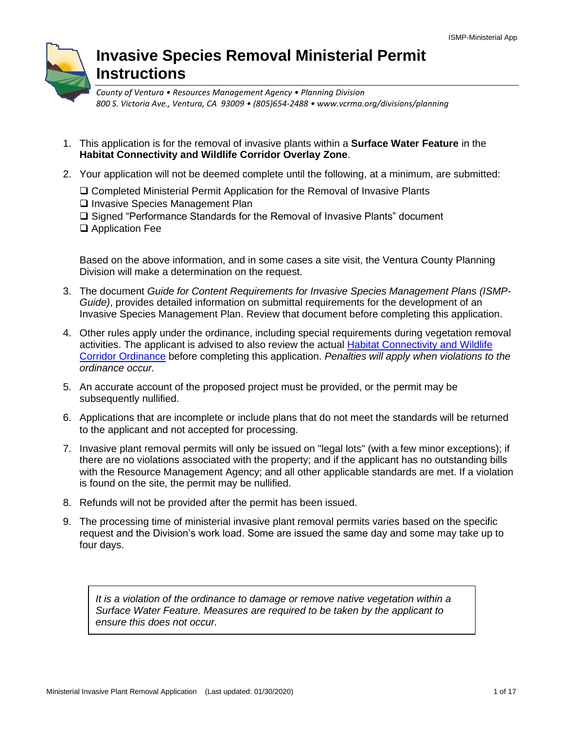# **Invasive Species Removal Ministerial Permit Instructions**

*County of Ventura • Resources Management Agency • Planning Division 800 S. Victoria Ave., Ventura, CA 93009 • (805)654-2488 • www.vcrma.org/divisions/planning*

- 1. This application is for the removal of invasive plants within a **Surface Water Feature** in the **Habitat Connectivity and Wildlife Corridor Overlay Zone**.
- 2. Your application will not be deemed complete until the following, at a minimum, are submitted:
	- ❑ Completed Ministerial Permit Application for the Removal of Invasive Plants ❑ Invasive Species Management Plan
	- ❑ Signed "Performance Standards for the Removal of Invasive Plants" document
	- ❑ Application Fee

Based on the above information, and in some cases a site visit, the Ventura County Planning Division will make a determination on the request.

- 3. The document *Guide for Content Requirements for Invasive Species Management Plans (ISMP-Guide)*, provides detailed information on submittal requirements for the development of an Invasive Species Management Plan. Review that document before completing this application.
- 4. Other rules apply under the ordinance, including special requirements during vegetation removal activities. The applicant is advised to also review the actual [Habitat Connectivity and Wildlife](https://docs.vcrma.org/images/pdf/planning/HCWC/Ordinance_4537.pdf) Corridor [Ordinance](https://docs.vcrma.org/images/pdf/planning/HCWC/Ordinance_4537.pdf) before completing this application. *Penalties will apply when violations to the ordinance occur.*
- 5. An accurate account of the proposed project must be provided, or the permit may be subsequently nullified.
- 6. Applications that are incomplete or include plans that do not meet the standards will be returned to the applicant and not accepted for processing.
- 7. Invasive plant removal permits will only be issued on "legal lots" (with a few minor exceptions); if there are no violations associated with the property; and if the applicant has no outstanding bills with the Resource Management Agency; and all other applicable standards are met. If a violation is found on the site, the permit may be nullified.
- 8. Refunds will not be provided after the permit has been issued.
- 9. The processing time of ministerial invasive plant removal permits varies based on the specific request and the Division's work load. Some are issued the same day and some may take up to four days.

*It is a violation of the ordinance to damage or remove native vegetation within a Surface Water Feature. Measures are required to be taken by the applicant to ensure this does not occur.*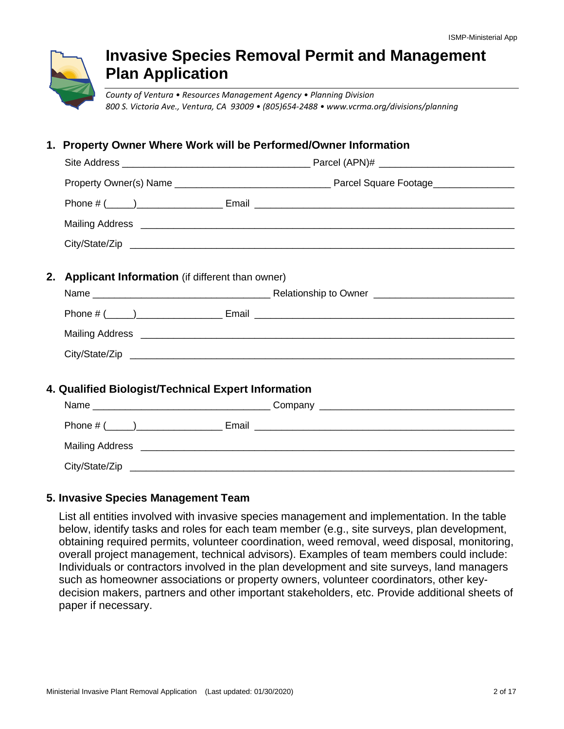

# **Invasive Species Removal Permit and Management Plan Application**

*County of Ventura • Resources Management Agency • Planning Division 800 S. Victoria Ave., Ventura, CA 93009 • (805)654-2488 • www.vcrma.org/divisions/planning*

## **1. Property Owner Where Work will be Performed/Owner Information**

| 2. Applicant Information (if different than owner)  |  |
|-----------------------------------------------------|--|
|                                                     |  |
|                                                     |  |
|                                                     |  |
|                                                     |  |
|                                                     |  |
| 4. Qualified Biologist/Technical Expert Information |  |
|                                                     |  |
|                                                     |  |
|                                                     |  |

City/State/Zip

#### **5. Invasive Species Management Team**

List all entities involved with invasive species management and implementation. In the table below, identify tasks and roles for each team member (e.g., site surveys, plan development, obtaining required permits, volunteer coordination, weed removal, weed disposal, monitoring, overall project management, technical advisors). Examples of team members could include: Individuals or contractors involved in the plan development and site surveys, land managers such as homeowner associations or property owners, volunteer coordinators, other keydecision makers, partners and other important stakeholders, etc. Provide additional sheets of paper if necessary.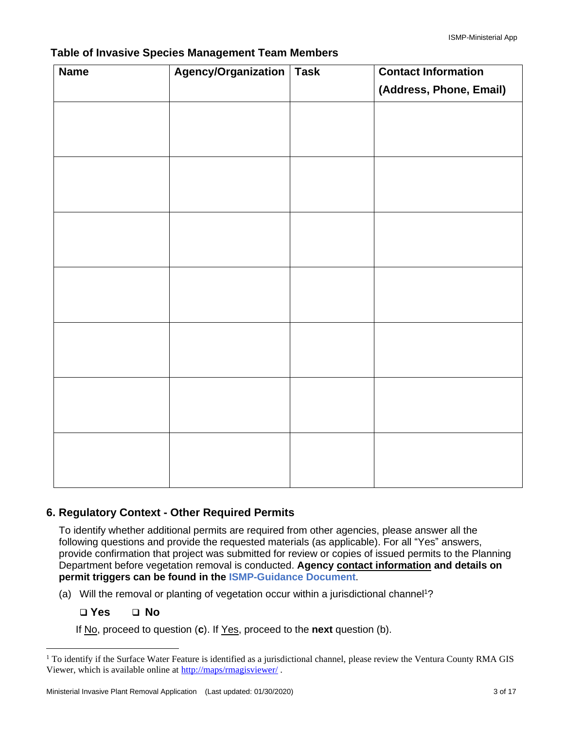| <b>Name</b> | Agency/Organization Task | <b>Contact Information</b> |
|-------------|--------------------------|----------------------------|
|             |                          | (Address, Phone, Email)    |
|             |                          |                            |
|             |                          |                            |
|             |                          |                            |
|             |                          |                            |
|             |                          |                            |
|             |                          |                            |
|             |                          |                            |
|             |                          |                            |
|             |                          |                            |
|             |                          |                            |
|             |                          |                            |
|             |                          |                            |
|             |                          |                            |
|             |                          |                            |
|             |                          |                            |
|             |                          |                            |
|             |                          |                            |
|             |                          |                            |

#### **Table of Invasive Species Management Team Members**

## **6. Regulatory Context - Other Required Permits**

To identify whether additional permits are required from other agencies, please answer all the following questions and provide the requested materials (as applicable). For all "Yes" answers, provide confirmation that project was submitted for review or copies of issued permits to the Planning Department before vegetation removal is conducted. **Agency contact information and details on permit triggers can be found in the [ISMP-Guidance](https://docs.vcrma.org/images/pdf/planning/HCWC/Invasive_Species_Management_Plan_Guide.pdf) Document**.

- (a) Will the removal or planting of vegetation occur within a jurisdictional channel<sup>1</sup>?
	- ❑ **Yes** ❑ **No**

If No, proceed to question (**c**). If Yes, proceed to the **next** question (b).

<sup>&</sup>lt;sup>1</sup> To identify if the Surface Water Feature is identified as a jurisdictional channel, please review the Ventura County RMA GIS Viewer, which is available online a[t http://maps/rmagisviewer/](http://maps/rmagisviewer/) .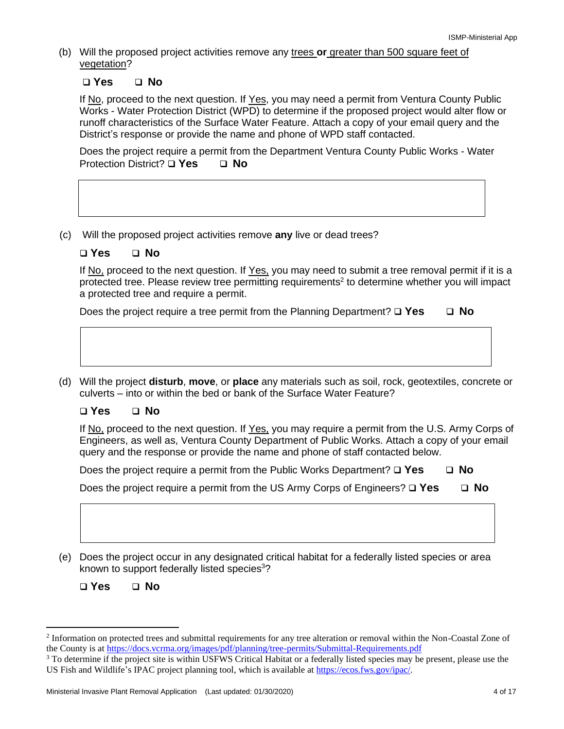(b) Will the proposed project activities remove any trees **or** greater than 500 square feet of vegetation?

#### ❑ **Yes** ❑ **No**

If No, proceed to the next question. If Yes, you may need a permit from Ventura County Public Works - Water Protection District (WPD) to determine if the proposed project would alter flow or runoff characteristics of the Surface Water Feature. Attach a copy of your email query and the District's response or provide the name and phone of WPD staff contacted.

Does the project require a permit from the Department Ventura County Public Works - Water Protection District? ❑ **Yes** ❑ **No**

(c) Will the proposed project activities remove **any** live or dead trees?

#### ❑ **Yes** ❑ **No**

If No, proceed to the next question. If Yes, you may need to submit a tree removal permit if it is a protected tree. Please review tree permitting requirements<sup>2</sup> to determine whether you will impact a protected tree and require a permit.

Does the project require a tree permit from the Planning Department? ❑ **Yes** ❑ **No**

(d) Will the project **disturb**, **move**, or **place** any materials such as soil, rock, geotextiles, concrete or culverts – into or within the bed or bank of the Surface Water Feature?

#### ❑ **Yes** ❑ **No**

If No, proceed to the next question. If Yes, you may require a permit from the U.S. Army Corps of Engineers, as well as, Ventura County Department of Public Works. Attach a copy of your email query and the response or provide the name and phone of staff contacted below.

Does the project require a permit from the Public Works Department? ❑ **Yes** ❑ **No**

| □ No<br>Does the project require a permit from the US Army Corps of Engineers? $\square$ Yes |
|----------------------------------------------------------------------------------------------|
|----------------------------------------------------------------------------------------------|

(e) Does the project occur in any designated critical habitat for a federally listed species or area known to support federally listed species<sup>3</sup>?

❑ **Yes** ❑ **No**

<sup>&</sup>lt;sup>2</sup> Information on protected trees and submittal requirements for any tree alteration or removal within the Non-Coastal Zone of the County is at <https://docs.vcrma.org/images/pdf/planning/tree-permits/Submittal-Requirements.pdf>

<sup>&</sup>lt;sup>3</sup> To determine if the project site is within USFWS Critical Habitat or a federally listed species may be present, please use the US Fish and Wildlife's IPAC project planning tool, which is available at [https://ecos.fws.gov/ipac/.](https://ecos.fws.gov/ipac/)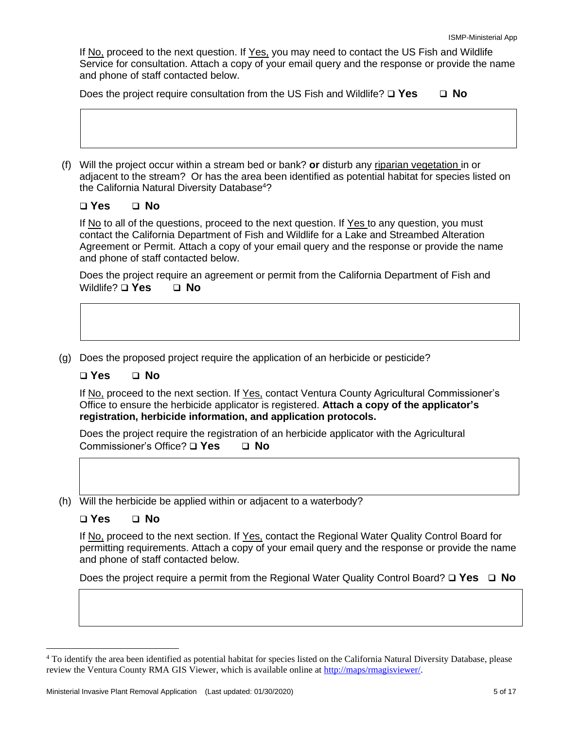If No, proceed to the next question. If Yes, you may need to contact the US Fish and Wildlife Service for consultation. Attach a copy of your email query and the response or provide the name and phone of staff contacted below.

Does the project require consultation from the US Fish and Wildlife? ❑ **Yes** ❑ **No**

(f) Will the project occur within a stream bed or bank? **or** disturb any riparian vegetation in or adjacent to the stream? Or has the area been identified as potential habitat for species listed on the California Natural Diversity Database<sup>4</sup>?

#### ❑ **Yes** ❑ **No**

If No to all of the questions, proceed to the next question. If Yes to any question, you must contact the California Department of Fish and Wildlife for a Lake and Streambed Alteration Agreement or Permit. Attach a copy of your email query and the response or provide the name and phone of staff contacted below.

Does the project require an agreement or permit from the California Department of Fish and Wildlife? ❑ **Yes** ❑ **No**

(g) Does the proposed project require the application of an herbicide or pesticide?

#### ❑ **Yes** ❑ **No**

If No, proceed to the next section. If Yes, contact Ventura County Agricultural Commissioner's Office to ensure the herbicide applicator is registered. **Attach a copy of the applicator's registration, herbicide information, and application protocols.**

Does the project require the registration of an herbicide applicator with the Agricultural Commissioner's Office? ❑ **Yes** ❑ **No**

(h) Will the herbicide be applied within or adjacent to a waterbody?

#### ❑ **Yes** ❑ **No**

If No, proceed to the next section. If Yes, contact the Regional Water Quality Control Board for permitting requirements. Attach a copy of your email query and the response or provide the name and phone of staff contacted below.

Does the project require a permit from the Regional Water Quality Control Board? ❑ **Yes** ❑ **No**

<sup>4</sup> To identify the area been identified as potential habitat for species listed on the California Natural Diversity Database, please review the Ventura County RMA GIS Viewer, which is available online a[t http://maps/rmagisviewer/.](http://maps/rmagisviewer/)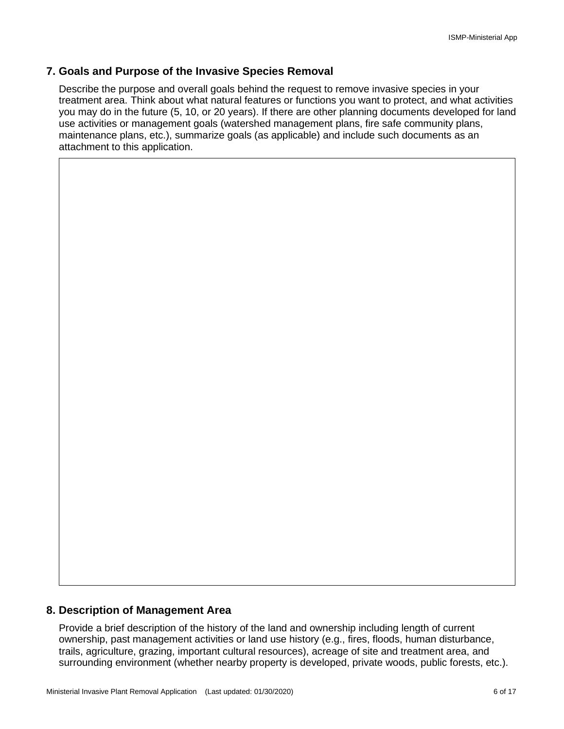#### **7. Goals and Purpose of the Invasive Species Removal**

Describe the purpose and overall goals behind the request to remove invasive species in your treatment area. Think about what natural features or functions you want to protect, and what activities you may do in the future (5, 10, or 20 years). If there are other planning documents developed for land use activities or management goals (watershed management plans, fire safe community plans, maintenance plans, etc.), summarize goals (as applicable) and include such documents as an attachment to this application.

#### **8. Description of Management Area**

Provide a brief description of the history of the land and ownership including length of current ownership, past management activities or land use history (e.g., fires, floods, human disturbance, trails, agriculture, grazing, important cultural resources), acreage of site and treatment area, and surrounding environment (whether nearby property is developed, private woods, public forests, etc.).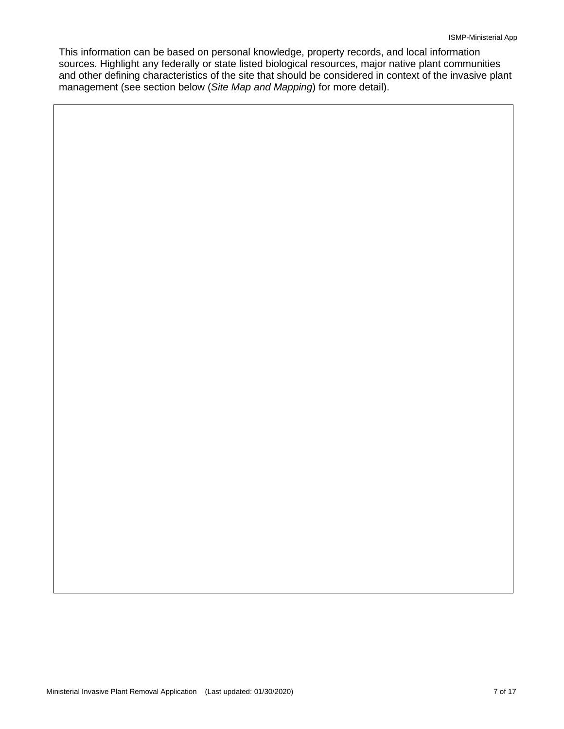This information can be based on personal knowledge, property records, and local information sources. Highlight any federally or state listed biological resources, major native plant communities and other defining characteristics of the site that should be considered in context of the invasive plant management (see section below (*Site Map and Mapping*) for more detail).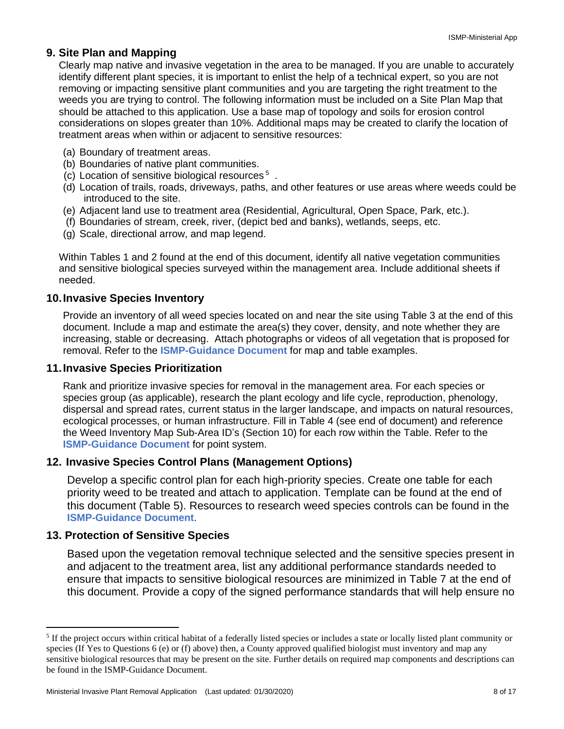#### **9. Site Plan and Mapping**

Clearly map native and invasive vegetation in the area to be managed. If you are unable to accurately identify different plant species, it is important to enlist the help of a technical expert, so you are not removing or impacting sensitive plant communities and you are targeting the right treatment to the weeds you are trying to control. The following information must be included on a Site Plan Map that should be attached to this application. Use a base map of topology and soils for erosion control considerations on slopes greater than 10%. Additional maps may be created to clarify the location of treatment areas when within or adjacent to sensitive resources:

- (a) Boundary of treatment areas.
- (b) Boundaries of native plant communities.
- (c) Location of sensitive biological resources<sup>5</sup>.
- (d) Location of trails, roads, driveways, paths, and other features or use areas where weeds could be introduced to the site.
- (e) Adjacent land use to treatment area (Residential, Agricultural, Open Space, Park, etc.).
- (f) Boundaries of stream, creek, river, (depict bed and banks), wetlands, seeps, etc.
- (g) Scale, directional arrow, and map legend.

Within Tables 1 and 2 found at the end of this document, identify all native vegetation communities and sensitive biological species surveyed within the management area. Include additional sheets if needed.

#### **10.Invasive Species Inventory**

Provide an inventory of all weed species located on and near the site using Table 3 at the end of this document. Include a map and estimate the area(s) they cover, density, and note whether they are increasing, stable or decreasing. Attach photographs or videos of all vegetation that is proposed for removal. Refer to the **[ISMP-Guidance](https://docs.vcrma.org/images/pdf/planning/HCWC/Invasive_Species_Management_Plan_Guide.pdf) Document** for map and table examples.

#### **11.Invasive Species Prioritization**

Rank and prioritize invasive species for removal in the management area. For each species or species group (as applicable), research the plant ecology and life cycle, reproduction, phenology, dispersal and spread rates, current status in the larger landscape, and impacts on natural resources, ecological processes, or human infrastructure. Fill in Table 4 (see end of document) and reference the Weed Inventory Map Sub-Area ID's (Section 10) for each row within the Table. Refer to the **[ISMP-Guidance](https://docs.vcrma.org/images/pdf/planning/HCWC/Invasive_Species_Management_Plan_Guide.pdf) Document** for point system.

#### **12. Invasive Species Control Plans (Management Options)**

Develop a specific control plan for each high-priority species. Create one table for each priority weed to be treated and attach to application. Template can be found at the end of this document (Table 5). Resources to research weed species controls can be found in the **[ISMP-Guidance](https://docs.vcrma.org/images/pdf/planning/HCWC/Invasive_Species_Management_Plan_Guide.pdf) Document**.

#### **13. Protection of Sensitive Species**

Based upon the vegetation removal technique selected and the sensitive species present in and adjacent to the treatment area, list any additional performance standards needed to ensure that impacts to sensitive biological resources are minimized in Table 7 at the end of this document. Provide a copy of the signed performance standards that will help ensure no

<sup>&</sup>lt;sup>5</sup> If the project occurs within critical habitat of a federally listed species or includes a state or locally listed plant community or species (If Yes to Questions 6 (e) or (f) above) then, a County approved qualified biologist must inventory and map any sensitive biological resources that may be present on the site. Further details on required map components and descriptions can be found in the ISMP-Guidance Document.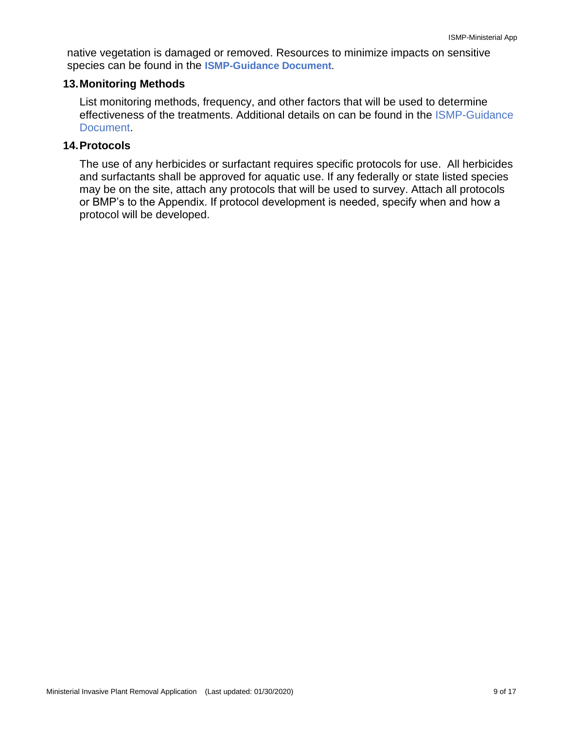native vegetation is damaged or removed. Resources to minimize impacts on sensitive species can be found in the **[ISMP-Guidance](https://docs.vcrma.org/images/pdf/planning/HCWC/Invasive_Species_Management_Plan_Guide.pdf) Document**.

#### **13.Monitoring Methods**

List monitoring methods, frequency, and other factors that will be used to determine effectiveness of the treatments. Additional details on can be found in the [ISMP-Guidance](https://docs.vcrma.org/images/pdf/planning/HCWC/Invasive_Species_Management_Plan_Guide.pdf)  [Document.](https://docs.vcrma.org/images/pdf/planning/HCWC/Invasive_Species_Management_Plan_Guide.pdf)

#### **14.Protocols**

The use of any herbicides or surfactant requires specific protocols for use. All herbicides and surfactants shall be approved for aquatic use. If any federally or state listed species may be on the site, attach any protocols that will be used to survey. Attach all protocols or BMP's to the Appendix. If protocol development is needed, specify when and how a protocol will be developed.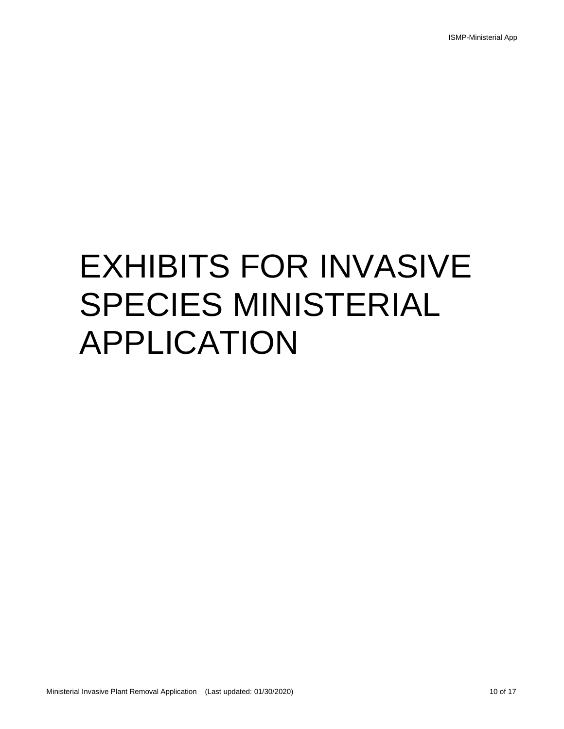# EXHIBITS FOR INVASIVE SPECIES MINISTERIAL APPLICATION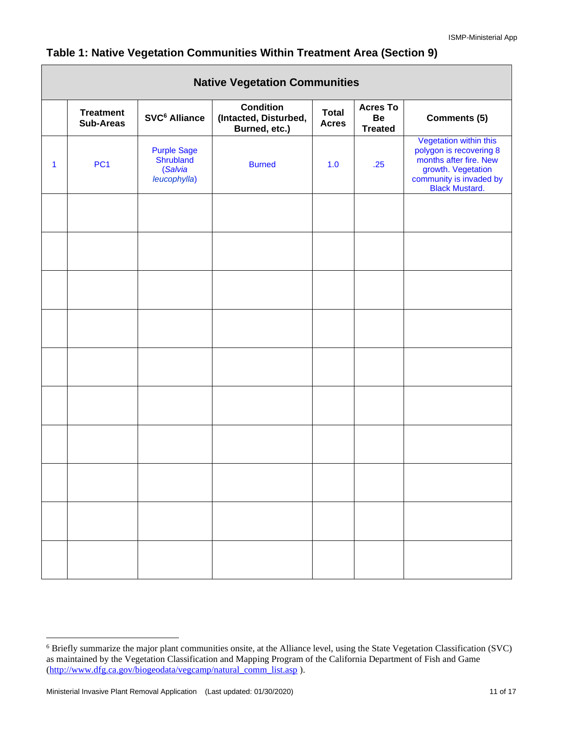|              |                               |                                                            | <b>Native Vegetation Communities</b>                       |                              |                                         |                                                                                                                                                       |
|--------------|-------------------------------|------------------------------------------------------------|------------------------------------------------------------|------------------------------|-----------------------------------------|-------------------------------------------------------------------------------------------------------------------------------------------------------|
|              | <b>Treatment</b><br>Sub-Areas | SVC <sup>6</sup> Alliance                                  | <b>Condition</b><br>(Intacted, Disturbed,<br>Burned, etc.) | <b>Total</b><br><b>Acres</b> | <b>Acres To</b><br>Be<br><b>Treated</b> | <b>Comments (5)</b>                                                                                                                                   |
| $\mathbf{1}$ | PC <sub>1</sub>               | <b>Purple Sage</b><br>Shrubland<br>(Salvia<br>leucophylla) | <b>Burned</b>                                              | 1.0                          | .25                                     | Vegetation within this<br>polygon is recovering 8<br>months after fire. New<br>growth. Vegetation<br>community is invaded by<br><b>Black Mustard.</b> |
|              |                               |                                                            |                                                            |                              |                                         |                                                                                                                                                       |
|              |                               |                                                            |                                                            |                              |                                         |                                                                                                                                                       |
|              |                               |                                                            |                                                            |                              |                                         |                                                                                                                                                       |
|              |                               |                                                            |                                                            |                              |                                         |                                                                                                                                                       |
|              |                               |                                                            |                                                            |                              |                                         |                                                                                                                                                       |
|              |                               |                                                            |                                                            |                              |                                         |                                                                                                                                                       |
|              |                               |                                                            |                                                            |                              |                                         |                                                                                                                                                       |
|              |                               |                                                            |                                                            |                              |                                         |                                                                                                                                                       |
|              |                               |                                                            |                                                            |                              |                                         |                                                                                                                                                       |
|              |                               |                                                            |                                                            |                              |                                         |                                                                                                                                                       |

# **Table 1: Native Vegetation Communities Within Treatment Area (Section 9)**

Г

<sup>6</sup> Briefly summarize the major plant communities onsite, at the Alliance level, using the State Vegetation Classification (SVC) as maintained by the Vegetation Classification and Mapping Program of the California Department of Fish and Game [\(http://www.dfg.ca.gov/biogeodata/vegcamp/natural\\_comm\\_list.asp](http://www.dfg.ca.gov/biogeodata/vegcamp/natural_comm_list.asp) ).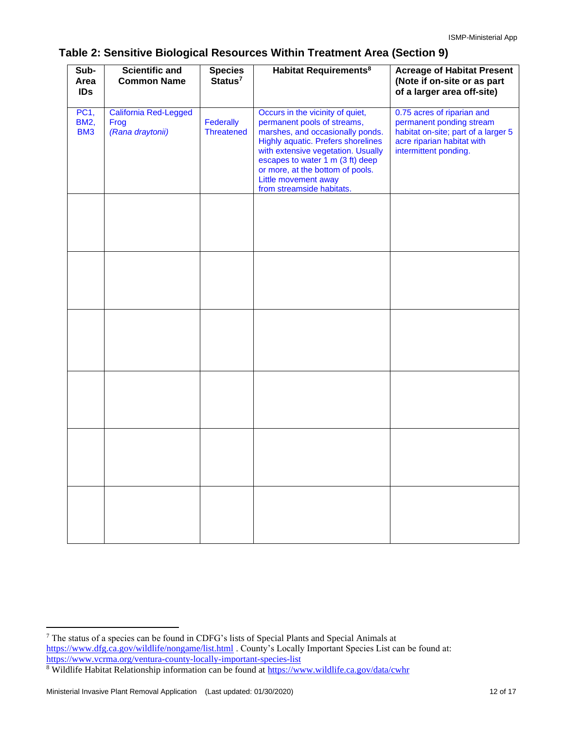### **Table 2: Sensitive Biological Resources Within Treatment Area (Section 9)**

| Sub-<br>Area<br><b>IDs</b>                    | <b>Scientific and</b><br><b>Common Name</b>              | <b>Species</b><br>$S$ tatus <sup>7</sup> | <b>Habitat Requirements<sup>8</sup></b>                                                                                                                                                                                                                                                                             | <b>Acreage of Habitat Present</b><br>(Note if on-site or as part<br>of a larger area off-site)                                                       |
|-----------------------------------------------|----------------------------------------------------------|------------------------------------------|---------------------------------------------------------------------------------------------------------------------------------------------------------------------------------------------------------------------------------------------------------------------------------------------------------------------|------------------------------------------------------------------------------------------------------------------------------------------------------|
| <b>PC1,</b><br><b>BM2,</b><br>BM <sub>3</sub> | <b>California Red-Legged</b><br>Frog<br>(Rana draytonii) | Federally<br>Threatened                  | Occurs in the vicinity of quiet,<br>permanent pools of streams,<br>marshes, and occasionally ponds.<br><b>Highly aquatic. Prefers shorelines</b><br>with extensive vegetation. Usually<br>escapes to water 1 m (3 ft) deep<br>or more, at the bottom of pools.<br>Little movement away<br>from streamside habitats. | 0.75 acres of riparian and<br>permanent ponding stream<br>habitat on-site; part of a larger 5<br>acre riparian habitat with<br>intermittent ponding. |
|                                               |                                                          |                                          |                                                                                                                                                                                                                                                                                                                     |                                                                                                                                                      |
|                                               |                                                          |                                          |                                                                                                                                                                                                                                                                                                                     |                                                                                                                                                      |
|                                               |                                                          |                                          |                                                                                                                                                                                                                                                                                                                     |                                                                                                                                                      |
|                                               |                                                          |                                          |                                                                                                                                                                                                                                                                                                                     |                                                                                                                                                      |
|                                               |                                                          |                                          |                                                                                                                                                                                                                                                                                                                     |                                                                                                                                                      |
|                                               |                                                          |                                          |                                                                                                                                                                                                                                                                                                                     |                                                                                                                                                      |

<sup>7</sup> The status of a species can be found in CDFG's lists of Special Plants and Special Animals at <https://www.dfg.ca.gov/wildlife/nongame/list.html> . County's Locally Important Species List can be found at: <https://www.vcrma.org/ventura-county-locally-important-species-list>

<sup>&</sup>lt;sup>8</sup> Wildlife Habitat Relationship information can be found at<https://www.wildlife.ca.gov/data/cwhr>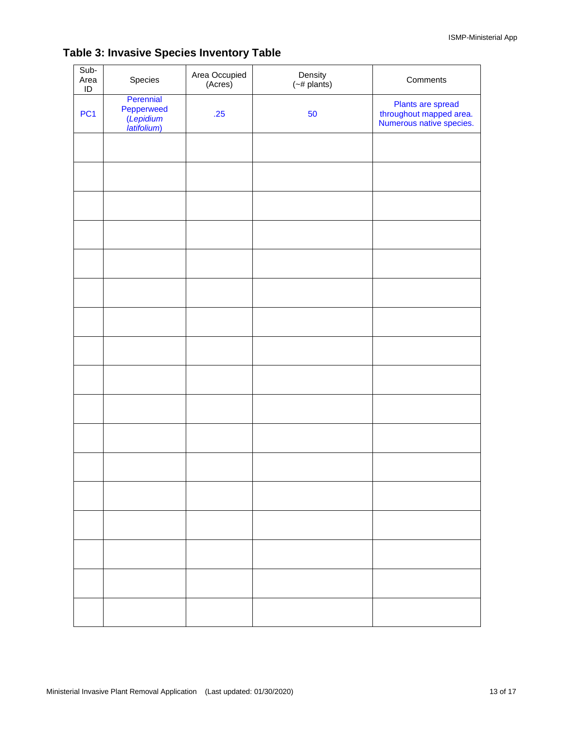| Sub-<br>Area<br>$\sf ID$ | Species                                             | Area Occupied<br>(Acres) | Density<br>$(-#$ plants) | Comments                                                                 |
|--------------------------|-----------------------------------------------------|--------------------------|--------------------------|--------------------------------------------------------------------------|
| PC <sub>1</sub>          | Perennial<br>Pepperweed<br>(Lepidium<br>latifolium) | .25                      | 50                       | Plants are spread<br>throughout mapped area.<br>Numerous native species. |
|                          |                                                     |                          |                          |                                                                          |
|                          |                                                     |                          |                          |                                                                          |
|                          |                                                     |                          |                          |                                                                          |
|                          |                                                     |                          |                          |                                                                          |
|                          |                                                     |                          |                          |                                                                          |
|                          |                                                     |                          |                          |                                                                          |
|                          |                                                     |                          |                          |                                                                          |
|                          |                                                     |                          |                          |                                                                          |
|                          |                                                     |                          |                          |                                                                          |
|                          |                                                     |                          |                          |                                                                          |
|                          |                                                     |                          |                          |                                                                          |
|                          |                                                     |                          |                          |                                                                          |
|                          |                                                     |                          |                          |                                                                          |
|                          |                                                     |                          |                          |                                                                          |
|                          |                                                     |                          |                          |                                                                          |
|                          |                                                     |                          |                          |                                                                          |
|                          |                                                     |                          |                          |                                                                          |

# **Table 3: Invasive Species Inventory Table**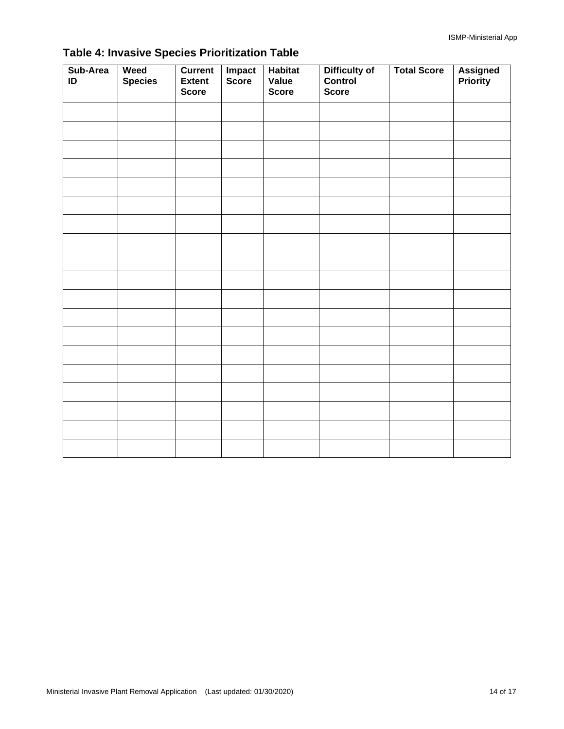| Sub-Area<br>ID | Weed<br><b>Species</b> | <b>Current</b><br><b>Extent</b><br><b>Score</b> | Impact<br>Score | <b>Habitat</b><br>Value<br><b>Score</b> | Difficulty of<br>Control<br><b>Score</b> | <b>Total Score</b> | <b>Assigned</b><br><b>Priority</b> |
|----------------|------------------------|-------------------------------------------------|-----------------|-----------------------------------------|------------------------------------------|--------------------|------------------------------------|
|                |                        |                                                 |                 |                                         |                                          |                    |                                    |
|                |                        |                                                 |                 |                                         |                                          |                    |                                    |
|                |                        |                                                 |                 |                                         |                                          |                    |                                    |
|                |                        |                                                 |                 |                                         |                                          |                    |                                    |
|                |                        |                                                 |                 |                                         |                                          |                    |                                    |
|                |                        |                                                 |                 |                                         |                                          |                    |                                    |
|                |                        |                                                 |                 |                                         |                                          |                    |                                    |
|                |                        |                                                 |                 |                                         |                                          |                    |                                    |
|                |                        |                                                 |                 |                                         |                                          |                    |                                    |
|                |                        |                                                 |                 |                                         |                                          |                    |                                    |
|                |                        |                                                 |                 |                                         |                                          |                    |                                    |
|                |                        |                                                 |                 |                                         |                                          |                    |                                    |
|                |                        |                                                 |                 |                                         |                                          |                    |                                    |
|                |                        |                                                 |                 |                                         |                                          |                    |                                    |
|                |                        |                                                 |                 |                                         |                                          |                    |                                    |
|                |                        |                                                 |                 |                                         |                                          |                    |                                    |
|                |                        |                                                 |                 |                                         |                                          |                    |                                    |
|                |                        |                                                 |                 |                                         |                                          |                    |                                    |
|                |                        |                                                 |                 |                                         |                                          |                    |                                    |

# **Table 4: Invasive Species Prioritization Table**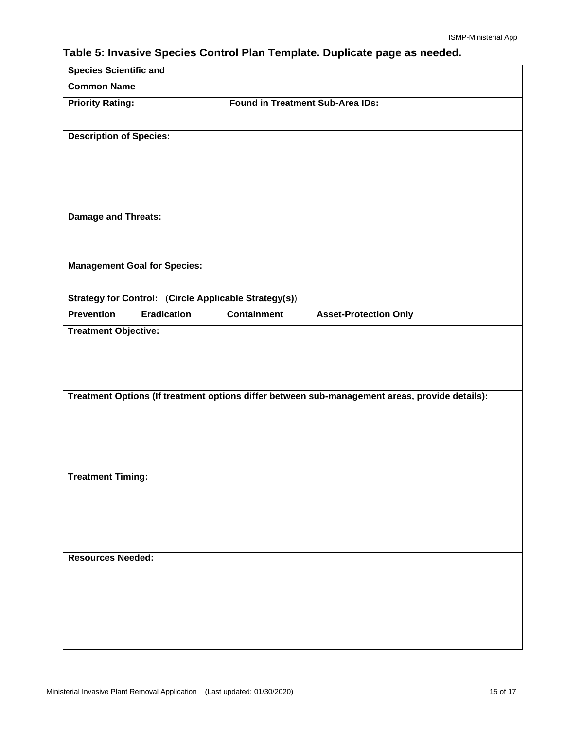# **Table 5: Invasive Species Control Plan Template. Duplicate page as needed.**

| <b>Species Scientific and</b>                                |                                                                                                |  |
|--------------------------------------------------------------|------------------------------------------------------------------------------------------------|--|
| <b>Common Name</b>                                           |                                                                                                |  |
| <b>Priority Rating:</b>                                      | <b>Found in Treatment Sub-Area IDs:</b>                                                        |  |
|                                                              |                                                                                                |  |
| <b>Description of Species:</b>                               |                                                                                                |  |
|                                                              |                                                                                                |  |
|                                                              |                                                                                                |  |
|                                                              |                                                                                                |  |
| <b>Damage and Threats:</b>                                   |                                                                                                |  |
|                                                              |                                                                                                |  |
|                                                              |                                                                                                |  |
| <b>Management Goal for Species:</b>                          |                                                                                                |  |
|                                                              |                                                                                                |  |
| <b>Strategy for Control: (Circle Applicable Strategy(s))</b> |                                                                                                |  |
| <b>Prevention</b><br><b>Eradication</b>                      | <b>Containment</b><br><b>Asset-Protection Only</b>                                             |  |
| <b>Treatment Objective:</b>                                  |                                                                                                |  |
|                                                              |                                                                                                |  |
|                                                              |                                                                                                |  |
|                                                              |                                                                                                |  |
|                                                              | Treatment Options (If treatment options differ between sub-management areas, provide details): |  |
|                                                              |                                                                                                |  |
|                                                              |                                                                                                |  |
|                                                              |                                                                                                |  |
| <b>Treatment Timing:</b>                                     |                                                                                                |  |
|                                                              |                                                                                                |  |
|                                                              |                                                                                                |  |
|                                                              |                                                                                                |  |
|                                                              |                                                                                                |  |
| <b>Resources Needed:</b>                                     |                                                                                                |  |
|                                                              |                                                                                                |  |
|                                                              |                                                                                                |  |
|                                                              |                                                                                                |  |
|                                                              |                                                                                                |  |
|                                                              |                                                                                                |  |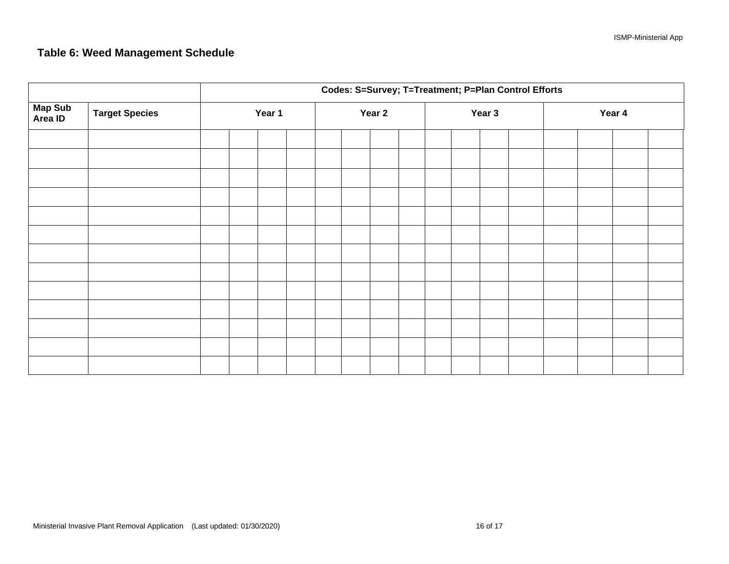# **Table 6: Weed Management Schedule**

|                    |                       | Codes: S=Survey; T=Treatment; P=Plan Control Efforts |        |  |  |        |  |  |        |  |  |        |  |  |  |  |
|--------------------|-----------------------|------------------------------------------------------|--------|--|--|--------|--|--|--------|--|--|--------|--|--|--|--|
| Map Sub<br>Area ID | <b>Target Species</b> |                                                      | Year 1 |  |  | Year 2 |  |  | Year 3 |  |  | Year 4 |  |  |  |  |
|                    |                       |                                                      |        |  |  |        |  |  |        |  |  |        |  |  |  |  |
|                    |                       |                                                      |        |  |  |        |  |  |        |  |  |        |  |  |  |  |
|                    |                       |                                                      |        |  |  |        |  |  |        |  |  |        |  |  |  |  |
|                    |                       |                                                      |        |  |  |        |  |  |        |  |  |        |  |  |  |  |
|                    |                       |                                                      |        |  |  |        |  |  |        |  |  |        |  |  |  |  |
|                    |                       |                                                      |        |  |  |        |  |  |        |  |  |        |  |  |  |  |
|                    |                       |                                                      |        |  |  |        |  |  |        |  |  |        |  |  |  |  |
|                    |                       |                                                      |        |  |  |        |  |  |        |  |  |        |  |  |  |  |
|                    |                       |                                                      |        |  |  |        |  |  |        |  |  |        |  |  |  |  |
|                    |                       |                                                      |        |  |  |        |  |  |        |  |  |        |  |  |  |  |
|                    |                       |                                                      |        |  |  |        |  |  |        |  |  |        |  |  |  |  |
|                    |                       |                                                      |        |  |  |        |  |  |        |  |  |        |  |  |  |  |
|                    |                       |                                                      |        |  |  |        |  |  |        |  |  |        |  |  |  |  |